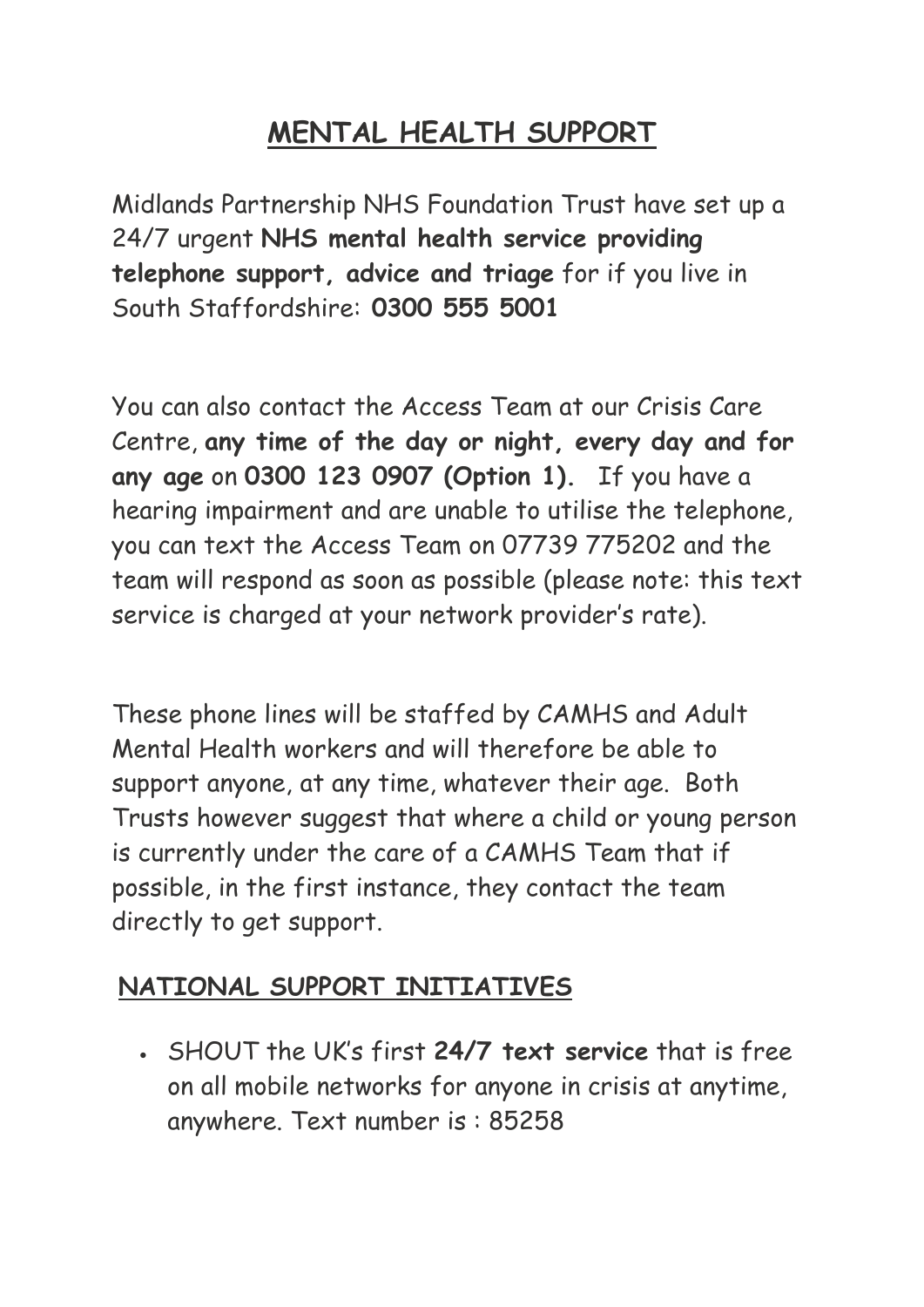## **MENTAL HEALTH SUPPORT**

Midlands Partnership NHS Foundation Trust have set up a 24/7 urgent **NHS mental health service providing telephone support, advice and triage** for if you live in South Staffordshire: **0300 555 5001**

You can also contact the Access Team at our Crisis Care Centre, **any time of the day or night, every day and for any age** on **0300 123 0907 (Option 1).** If you have a hearing impairment and are unable to utilise the telephone, you can text the Access Team on 07739 775202 and the team will respond as soon as possible (please note: this text service is charged at your network provider's rate).

These phone lines will be staffed by CAMHS and Adult Mental Health workers and will therefore be able to support anyone, at any time, whatever their age. Both Trusts however suggest that where a child or young person is currently under the care of a CAMHS Team that if possible, in the first instance, they contact the team directly to get support.

## **NATIONAL SUPPORT INITIATIVES**

• SHOUT the UK's first **24/7 text service** that is free on all mobile networks for anyone in crisis at anytime, anywhere. Text number is : 85258